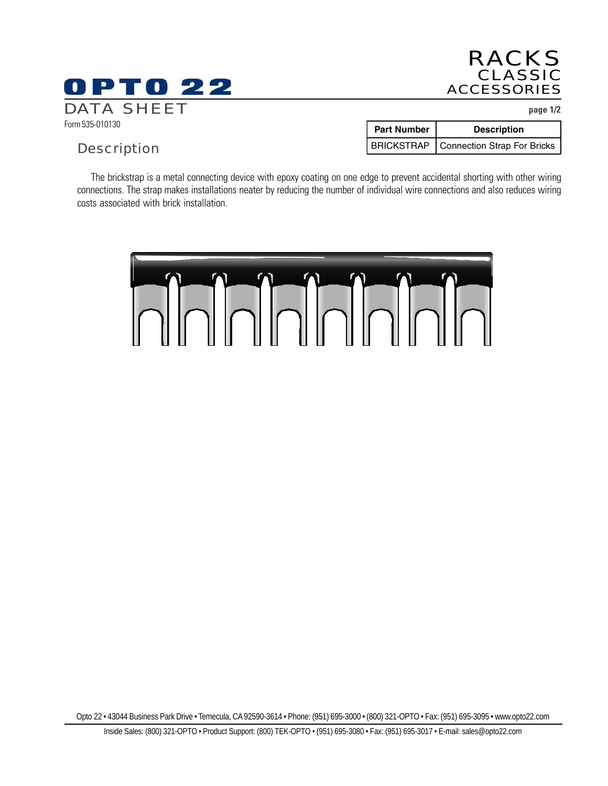# **OPTO 22** DATA SHEET **page 1/2**

# RACKS CLASSIC ACCESSORIES

Form 535-010130

# **Description**

| <b>Part Number</b> | <b>Description</b>                       |
|--------------------|------------------------------------------|
|                    | BRICKSTRAP   Connection Strap For Bricks |

The brickstrap is a metal connecting device with epoxy coating on one edge to prevent accidental shorting with other wiring connections. The strap makes installations neater by reducing the number of individual wire connections and also reduces wiring costs associated with brick installation.



Opto 22 • 43044 Business Park Drive • Temecula, CA 92590-3614 • Phone: (951) 695-3000 • (800) 321-OPTO • Fax: (951) 695-3095 • www.opto22.com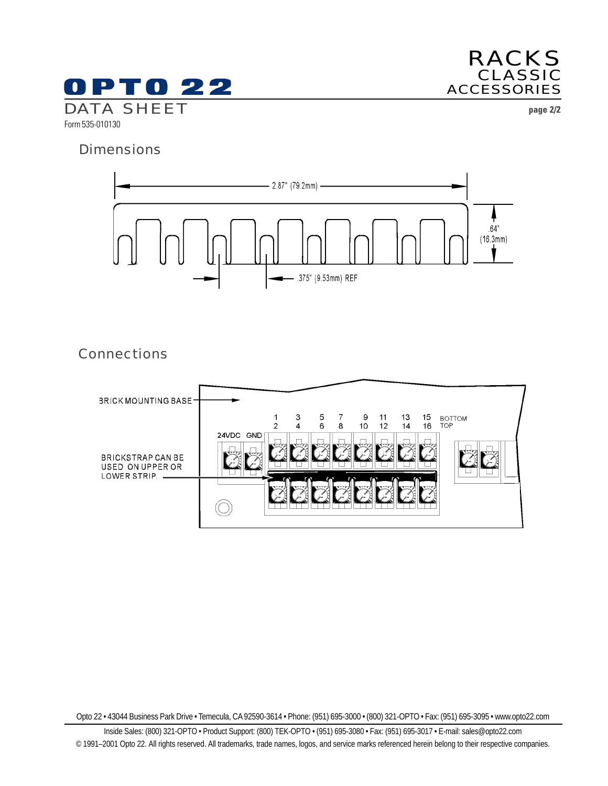

RACKS CLASSIC ACCESSORIES

### **Dimensions**



# **Connections**



Opto 22 • 43044 Business Park Drive • Temecula, CA 92590-3614 • Phone: (951) 695-3000 • (800) 321-OPTO • Fax: (951) 695-3095 • www.opto22.com